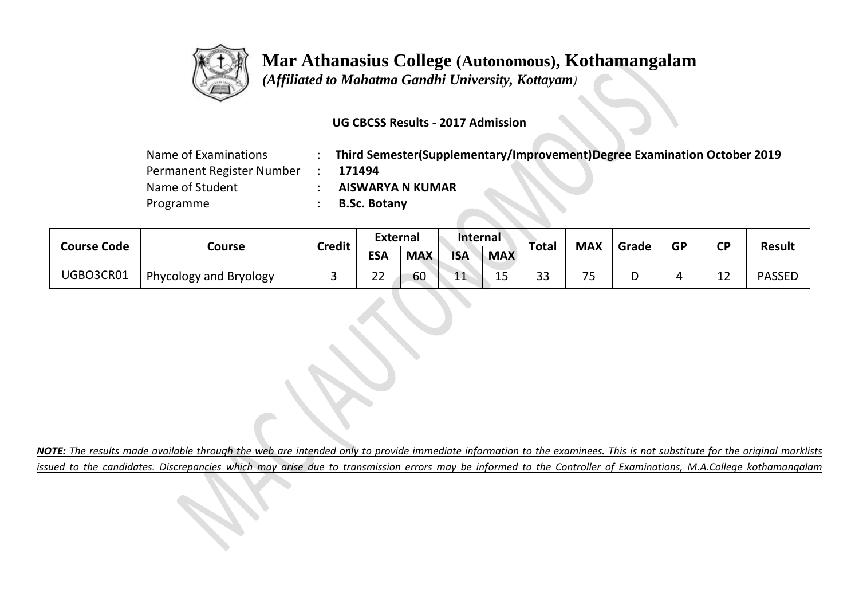

 *(Affiliated to Mahatma Gandhi University, Kottayam)*

### **UG CBCSS Results - 2017 Admission**

| Name of Examinations      | Third Semester(Supplementary/Improvement)Degree Examination October 2019 |
|---------------------------|--------------------------------------------------------------------------|
| Permanent Register Number | 171494                                                                   |
| Name of Student           | <b>AISWARYA N KUMAR</b>                                                  |
| Programme                 | <b>B.Sc. Botany</b>                                                      |

| <b>Course Code</b> |                        | <b>Credit</b> | <b>External</b> |            | <b>Internal</b> |             | <b>Total</b> | <b>MAX</b>     | Grade | <b>GP</b> |           | <b>Result</b> |
|--------------------|------------------------|---------------|-----------------|------------|-----------------|-------------|--------------|----------------|-------|-----------|-----------|---------------|
|                    | Course                 |               | <b>ESA</b>      | <b>MAX</b> | <b>ISA</b>      | <b>MAX</b>  |              |                |       |           | <b>CP</b> |               |
| UGBO3CR01          | Phycology and Bryology |               | ົາ<br>__        | 60         | 11<br>- F       | $\sim$<br>ᅩ | 33           | --<br><b>س</b> | ш     | ,,        | 1 า<br>-- | <b>PASSEL</b> |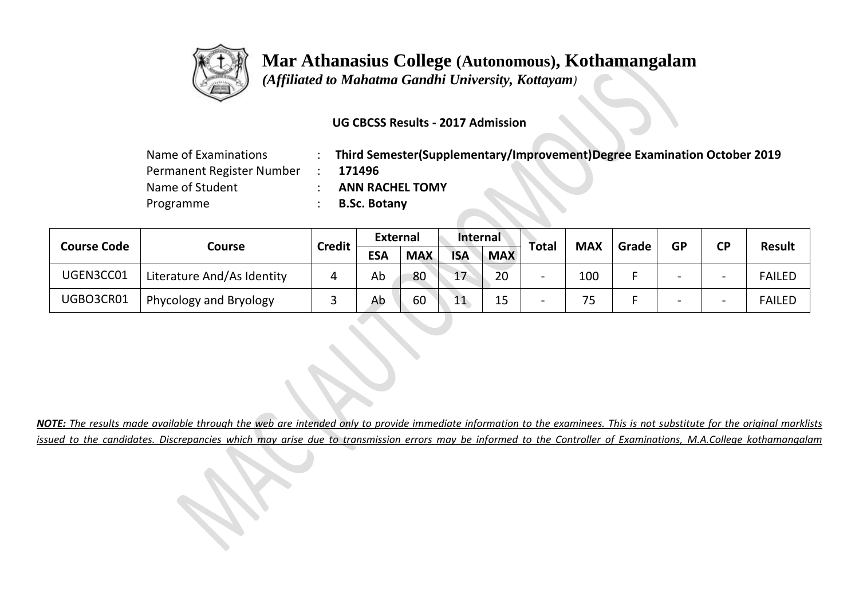

 *(Affiliated to Mahatma Gandhi University, Kottayam)*

### **UG CBCSS Results - 2017 Admission**

| Name of Examinations      | Third Semester(Supplementary/Improvement)Degree Examination October 2019 |
|---------------------------|--------------------------------------------------------------------------|
| Permanent Register Number | 171496                                                                   |
| Name of Student           | <b>ANN RACHEL TOMY</b>                                                   |
| Programme                 | <b>B.Sc. Botany</b>                                                      |

| <b>Course Code</b> |                            | <b>Credit</b> | <b>External</b> |            | Internal   |            |              | <b>MAX</b> | Grade | <b>GP</b> | <b>CP</b>                |               |
|--------------------|----------------------------|---------------|-----------------|------------|------------|------------|--------------|------------|-------|-----------|--------------------------|---------------|
|                    | Course                     |               | <b>ESA</b>      | <b>MAX</b> | <b>ISA</b> | <b>MAX</b> | <b>Total</b> |            |       |           |                          | <b>Result</b> |
| UGEN3CC01          | Literature And/As Identity |               | Ab              | 80         | 17         | 20         |              | 100        |       |           | $\overline{\phantom{0}}$ | <b>FAILED</b> |
| UGBO3CR01          | Phycology and Bryology     |               | Ab              | 60         | 11<br>ᅩᆂ   | 15         | -            | 75         |       |           | $\overline{\phantom{0}}$ | <b>FAILED</b> |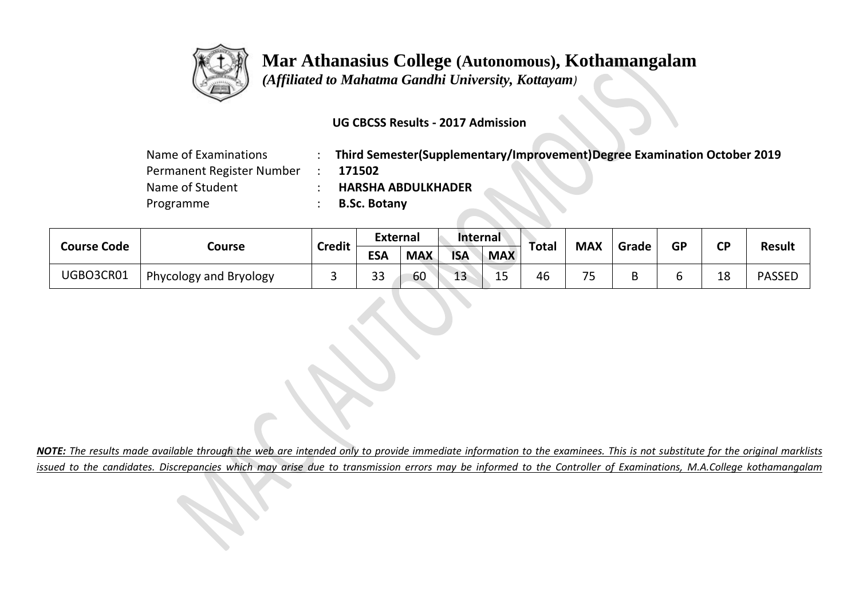

 *(Affiliated to Mahatma Gandhi University, Kottayam)*

### **UG CBCSS Results - 2017 Admission**

| Name of Examinations      | Third Semester(Supplementary/Improvement)Degree Examination October 2019 |
|---------------------------|--------------------------------------------------------------------------|
| Permanent Register Number | 171502                                                                   |
| Name of Student           | <b>HARSHA ABDULKHADER</b>                                                |
| Programme                 | <b>B.Sc. Botany</b>                                                      |

|                    |                        | <b>Credit</b> | <b>External</b> |            | <b>Internal</b> |                     | Total | <b>MAX</b> | Grade | <b>GP</b> | <b>CP</b> | <b>Result</b> |
|--------------------|------------------------|---------------|-----------------|------------|-----------------|---------------------|-------|------------|-------|-----------|-----------|---------------|
| <b>Course Code</b> | Course                 |               | <b>ESA</b>      | <b>MAX</b> | <b>ISA</b>      | <b>MAX</b>          |       |            |       |           |           |               |
| UGBO3CR01          | Phycology and Bryology |               | 33              | 60         | 13              | 1 <sub>0</sub><br>ᅩ | 46    | --<br>ັ    |       |           | 18        | <b>PASSED</b> |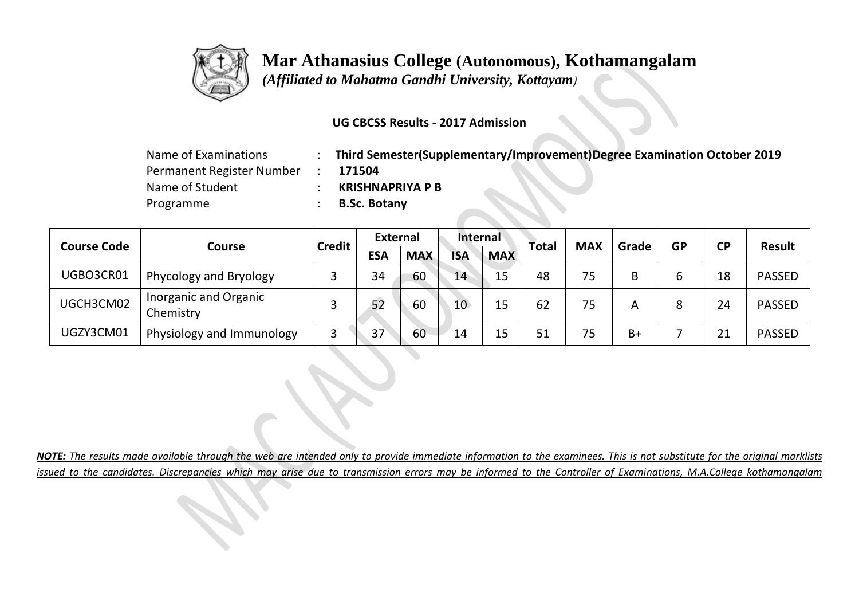

 *(Affiliated to Mahatma Gandhi University, Kottayam)*

### **UG CBCSS Results - 2017 Admission**

| Name of Examinations      | Third Semester(Supplementary/Improvement)Degree Examination October 2019 |
|---------------------------|--------------------------------------------------------------------------|
| Permanent Register Number | 171504                                                                   |
| Name of Student           | <b>KRISHNAPRIYA P B</b>                                                  |
| Programme                 | <b>B.Sc. Botany</b>                                                      |

|                              |                                    | <b>Credit</b> | <b>External</b> |            | <b>Internal</b> |            |              |            | Grade | <b>GP</b> | <b>CP</b> | Result        |
|------------------------------|------------------------------------|---------------|-----------------|------------|-----------------|------------|--------------|------------|-------|-----------|-----------|---------------|
| <b>Course Code</b><br>Course |                                    |               | <b>ESA</b>      | <b>MAX</b> | <b>ISA</b>      | <b>MAX</b> | <b>Total</b> | <b>MAX</b> |       |           |           |               |
| UGBO3CR01                    | Phycology and Bryology             |               | 34              | 60         | 14              | 15         | 48           | 75         | B     | ь         | 18        | <b>PASSED</b> |
| UGCH3CM02                    | Inorganic and Organic<br>Chemistry |               | 52              | 60         | 10 <sup>°</sup> | 15         | 62           | 75         | Α     | 8         | 24        | <b>PASSED</b> |
| UGZY3CM01                    | Physiology and Immunology          |               | 37              | 60         | 14              | 15         | 51           | 75         | $B+$  |           | 21        | <b>PASSED</b> |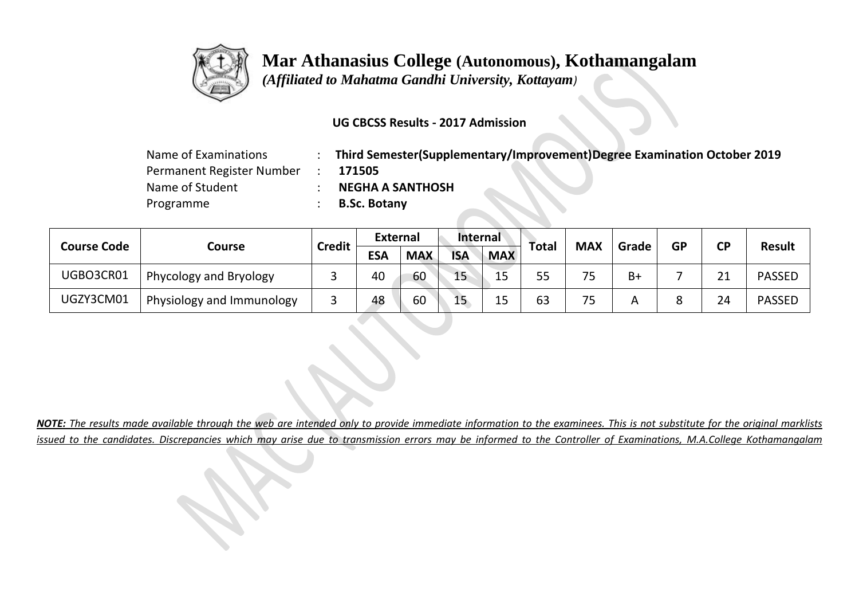

 *(Affiliated to Mahatma Gandhi University, Kottayam)*

### **UG CBCSS Results - 2017 Admission**

| Name of Examinations      | Third Semester(Supplementary/Improvement)Degree Examination October 2019 |
|---------------------------|--------------------------------------------------------------------------|
| Permanent Register Number | 171505                                                                   |
| Name of Student           | <b>NEGHA A SANTHOSH</b>                                                  |
| Programme                 | <b>B.Sc. Botany</b>                                                      |

| <b>Course Code</b> |                           | <b>Credit</b> | <b>External</b> |            | <b>Internal</b> |            |       | <b>MAX</b> | Grade | <b>GP</b> | <b>CP</b> | <b>Result</b> |
|--------------------|---------------------------|---------------|-----------------|------------|-----------------|------------|-------|------------|-------|-----------|-----------|---------------|
|                    | Course                    |               | <b>ESA</b>      | <b>MAX</b> | <b>ISA</b>      | <b>MAX</b> | Total |            |       |           |           |               |
| UGBO3CR01          | Phycology and Bryology    |               | 40              | 60         | 15              | 15         | 55    |            | $B+$  |           | 21        | <b>PASSED</b> |
| UGZY3CM01          | Physiology and Immunology |               | 48              | 60         | 15              | 15         | 63    | <b>پ</b>   |       |           | 24        | <b>PASSED</b> |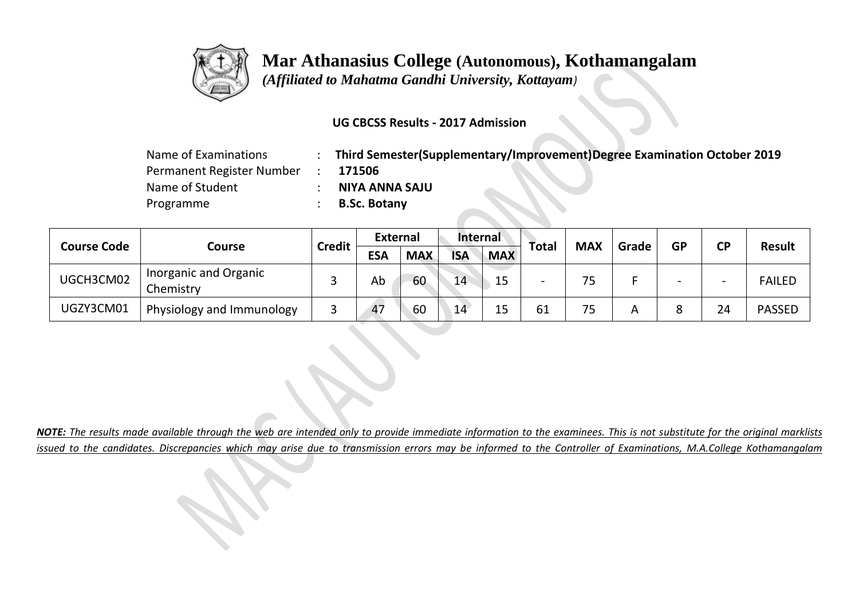

 *(Affiliated to Mahatma Gandhi University, Kottayam)*

### **UG CBCSS Results - 2017 Admission**

| Name of Examinations      | Third Semester(Supplementary/Improvement)Degree Examination October 2019 |
|---------------------------|--------------------------------------------------------------------------|
| Permanent Register Number | 171506                                                                   |
| Name of Student           | NIYA ANNA SAJU                                                           |
| Programme                 | <b>B.Sc. Botany</b>                                                      |

| <b>Course Code</b> |                                    | <b>Credit</b> | <b>External</b> |            | <b>Internal</b> |            |                          | <b>MAX</b> | Grade | <b>GP</b> | СP                       | <b>Result</b> |
|--------------------|------------------------------------|---------------|-----------------|------------|-----------------|------------|--------------------------|------------|-------|-----------|--------------------------|---------------|
|                    | Course                             |               | <b>ESA</b>      | <b>MAX</b> | <b>ISA</b>      | <b>MAX</b> | <b>Total</b>             |            |       |           |                          |               |
| UGCH3CM02          | Inorganic and Organic<br>Chemistry |               | Ab              | 60         | 14              | 15         | $\overline{\phantom{0}}$ |            |       | -         | $\overline{\phantom{0}}$ | <b>FAILED</b> |
| UGZY3CM01          | Physiology and Immunology          |               | 47              | 60         | 14              | 15         | 61                       |            | A     |           | 24                       | <b>PASSED</b> |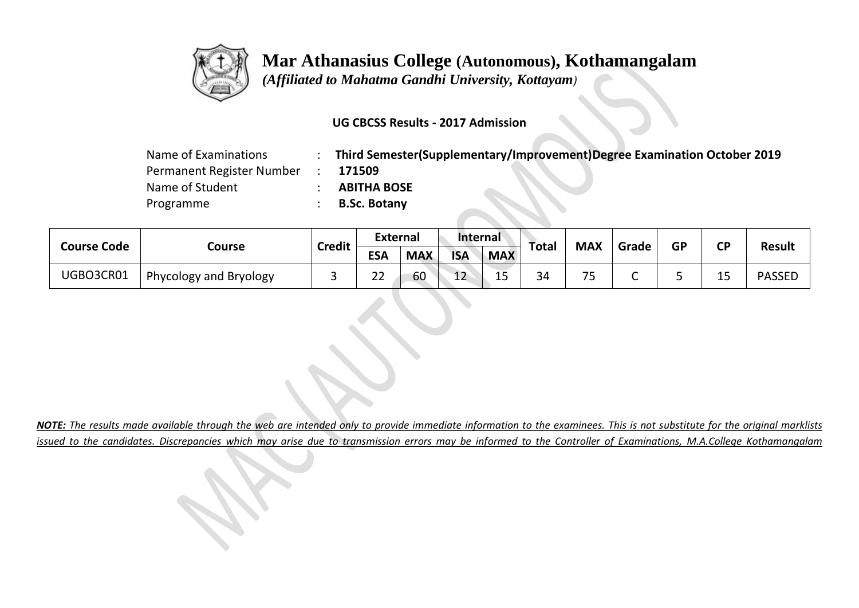

 *(Affiliated to Mahatma Gandhi University, Kottayam)*

### **UG CBCSS Results - 2017 Admission**

| Name of Examinations      | Third Semester(Supplementary/Improvement)Degree Examination October 2019 |
|---------------------------|--------------------------------------------------------------------------|
| Permanent Register Number | 171509                                                                   |
| Name of Student           | <b>ABITHA BOSE</b>                                                       |
| Programme                 | <b>B.Sc. Botany</b>                                                      |

| <b>Course Code</b> |                        | <b>Credit</b> | <b>External</b>         |            | <b>Internal</b> |                     |       | <b>MAX</b> | Grade | <b>GP</b> | <b>CP</b> | <b>Result</b> |
|--------------------|------------------------|---------------|-------------------------|------------|-----------------|---------------------|-------|------------|-------|-----------|-----------|---------------|
|                    | Course                 |               | ESA                     | <b>MAX</b> | <b>ISA</b>      | <b>MAX</b>          | Total |            |       |           |           |               |
| UGBO3CR01          | Phycology and Bryology |               | $\mathbf{\Omega}$<br>__ | 60         | $\sim$<br>ᅩ     | $\sim$ $\sim$<br>∸~ | 34    | --<br>-    | -     |           | ᅩ         | <b>PASSED</b> |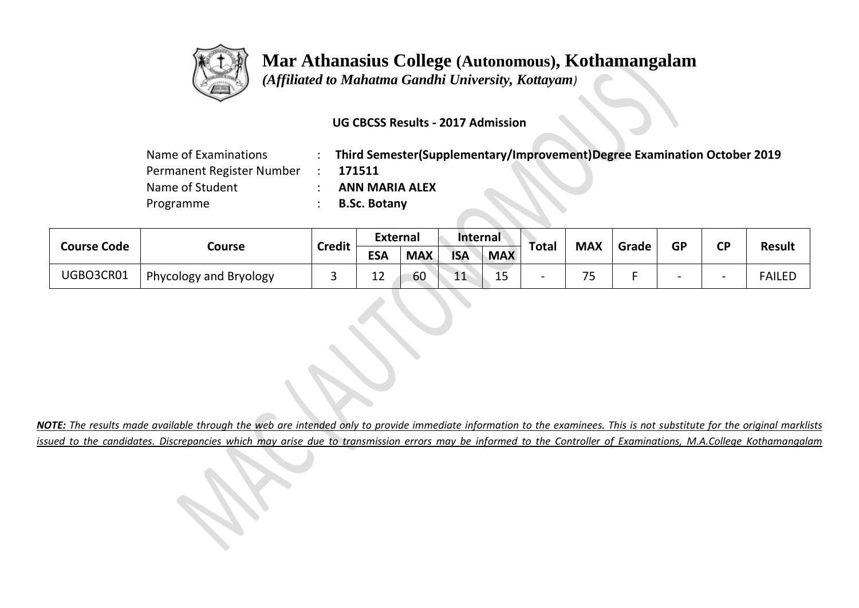

 *(Affiliated to Mahatma Gandhi University, Kottayam)*

### **UG CBCSS Results - 2017 Admission**

| Name of Examinations      | Third Semester(Supplementary/Improvement)Degree Examination October 2019 |
|---------------------------|--------------------------------------------------------------------------|
| Permanent Register Number | 171511                                                                   |
| Name of Student           | <b>ANN MARIA ALEX</b>                                                    |
| Programme                 | <b>B.Sc. Botany</b>                                                      |

| <b>Course Code</b> |                        | <b>Credit</b> | <b>External</b> |            | <b>Internal</b> |             |       |            |       | <b>GP</b> | <b>CP</b>                |               |
|--------------------|------------------------|---------------|-----------------|------------|-----------------|-------------|-------|------------|-------|-----------|--------------------------|---------------|
|                    | Course                 |               | <b>ESA</b>      | <b>MAX</b> | <b>ISA</b>      | <b>MAX</b>  | Total | <b>MAX</b> | Grade |           |                          | <b>Result</b> |
| UGBO3CR01          | Phycology and Bryology |               | $\sim$<br>ᅩᄼ    | 60         | $-11$<br>ᆂᆂ     | $\sim$<br>ᅩ | -     | -          | -     |           | $\overline{\phantom{0}}$ | <b>FAILED</b> |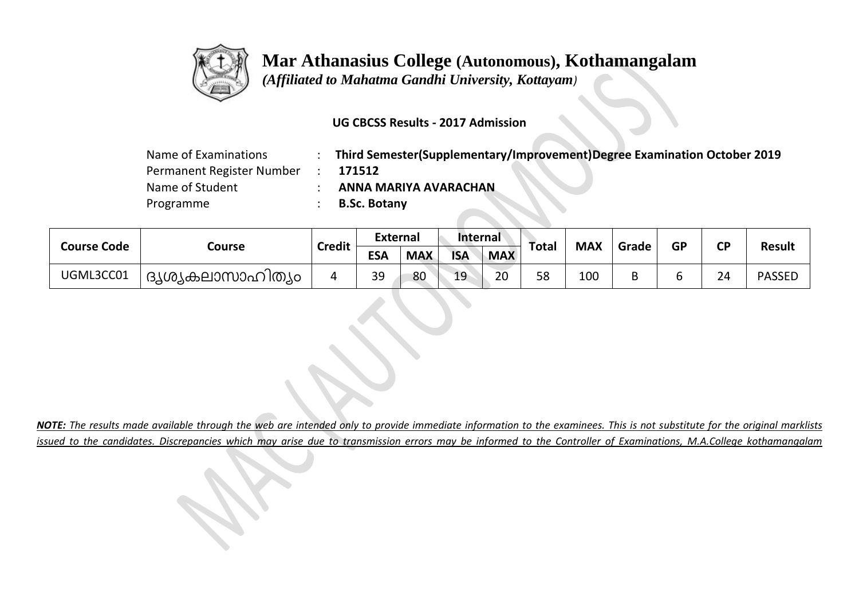

 *(Affiliated to Mahatma Gandhi University, Kottayam)*

### **UG CBCSS Results - 2017 Admission**

| Name of Examinations      | Third Semester(Supplementary/Improvement)Degree Examination October 2019 |
|---------------------------|--------------------------------------------------------------------------|
| Permanent Register Number | 171512                                                                   |
| Name of Student           | ANNA MARIYA AVARACHAN                                                    |
| Programme                 | <b>B.Sc. Botany</b>                                                      |

| <b>Course Code</b> |                    | <b>Credit</b> | <b>External</b> |            | <b>Internal</b> |            |       | <b>MAX</b> | Grade | <b>GP</b> | <b>CP</b> | <b>Result</b> |
|--------------------|--------------------|---------------|-----------------|------------|-----------------|------------|-------|------------|-------|-----------|-----------|---------------|
|                    | Course             |               | <b>ESA</b>      | <b>MAX</b> | <b>ISA</b>      | <b>MAX</b> | Total |            |       |           |           |               |
| UGML3CC01          | ' ദൃശ്യകലാസാഹിത്യം |               | 39              | 80         | 19              | 20         | 58    | 100        |       |           | 24        | <b>PASSED</b> |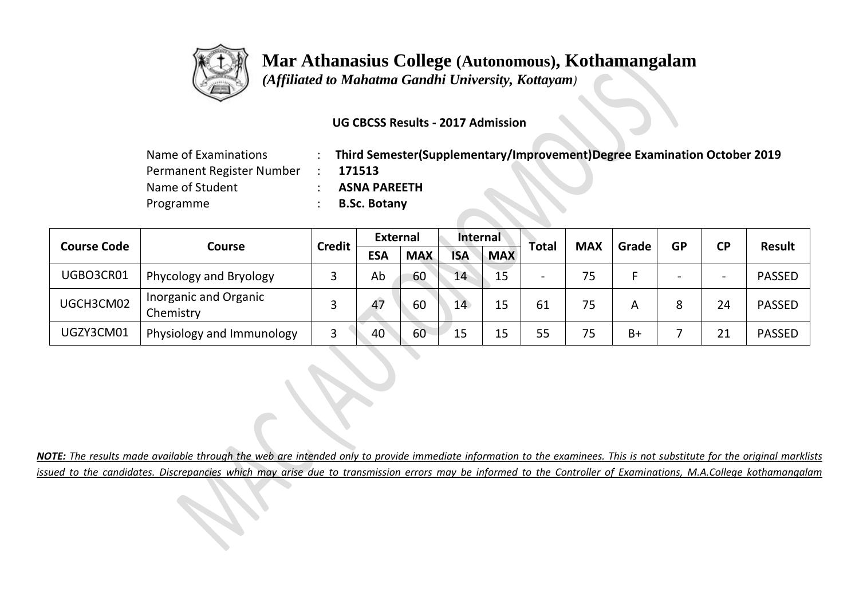

 *(Affiliated to Mahatma Gandhi University, Kottayam)*

### **UG CBCSS Results - 2017 Admission**

| Name of Examinations      | Third Semester(Supplementary/Improvement)Degree Examination October 2019 |
|---------------------------|--------------------------------------------------------------------------|
| Permanent Register Number | 171513                                                                   |
| Name of Student           | <b>ASNA PAREETH</b>                                                      |
| Programme                 | <b>B.Sc. Botany</b>                                                      |

| <b>Course Code</b> |                                    |               | <b>External</b> |            | <b>Internal</b> |            |                          | <b>MAX</b> |       |           |                          | <b>Result</b> |
|--------------------|------------------------------------|---------------|-----------------|------------|-----------------|------------|--------------------------|------------|-------|-----------|--------------------------|---------------|
|                    | Course                             | <b>Credit</b> | <b>ESA</b>      | <b>MAX</b> | <b>ISA</b>      | <b>MAX</b> | <b>Total</b>             |            | Grade | <b>GP</b> | <b>CP</b>                |               |
| UGBO3CR01          | Phycology and Bryology             |               | Ab              | 60         | 14              | 15         | $\overline{\phantom{0}}$ | 75         |       |           | $\overline{\phantom{0}}$ | <b>PASSED</b> |
| UGCH3CM02          | Inorganic and Organic<br>Chemistry |               | 47              | 60         | 14              | 15         | 61                       | 75         | A     | 8         | 24                       | <b>PASSED</b> |
| UGZY3CM01          | Physiology and Immunology          |               | 40              | 60         | 15              | 15         | 55                       | 75         | $B+$  |           | 21                       | <b>PASSED</b> |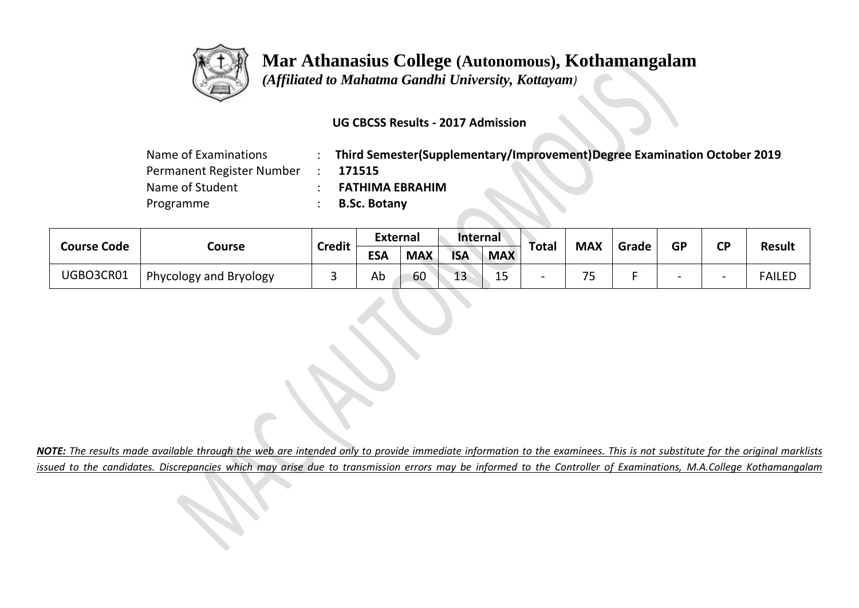

 *(Affiliated to Mahatma Gandhi University, Kottayam)*

### **UG CBCSS Results - 2017 Admission**

| Name of Examinations      | Third Semester(Supplementary/Improvement)Degree Examination October 2019 |  |
|---------------------------|--------------------------------------------------------------------------|--|
| Permanent Register Number | 171515                                                                   |  |
| Name of Student           | <b>FATHIMA EBRAHIM</b>                                                   |  |
| Programme                 | <b>B.Sc. Botany</b>                                                      |  |

| <b>Course Code</b> |                        | <b>Credit</b> | <b>External</b> |            | Internal   |            |       | <b>MAX</b> |       | <b>GP</b> | <b>CP</b> | <b>Result</b> |
|--------------------|------------------------|---------------|-----------------|------------|------------|------------|-------|------------|-------|-----------|-----------|---------------|
|                    | Course                 |               | <b>ESA</b>      | <b>MAX</b> | <b>ISA</b> | <b>MAX</b> | Total |            | Grade |           |           |               |
| UGBO3CR01          | Phycology and Bryology |               | Ab              | 60         | 12<br>τp   | ᅩ          |       | フロ<br>-    |       |           | -         | <b>FAILED</b> |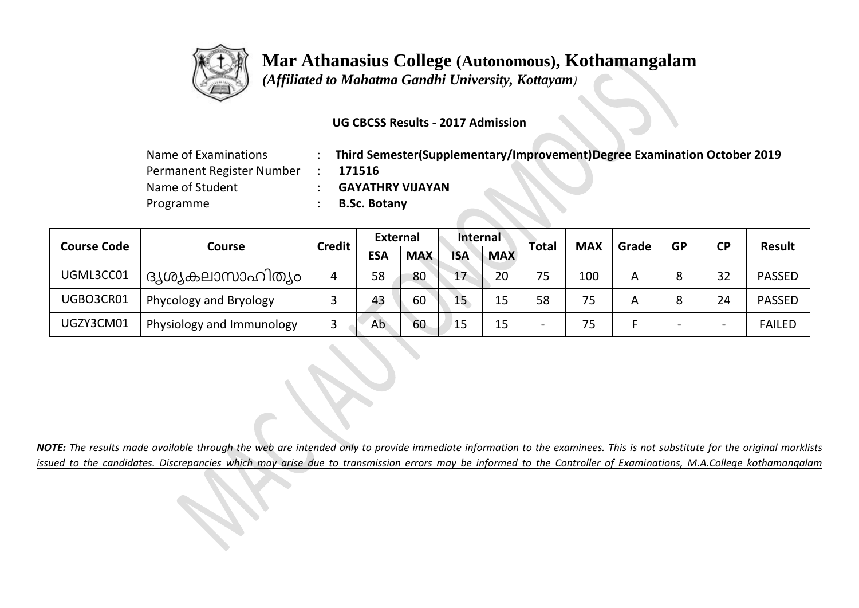

 *(Affiliated to Mahatma Gandhi University, Kottayam)*

### **UG CBCSS Results - 2017 Admission**

| Name of Examinations      | Third Semester(Supplementary/Improvement)Degree Examination October 2019 |
|---------------------------|--------------------------------------------------------------------------|
| Permanent Register Number | 171516                                                                   |
| Name of Student           | <b>GAYATHRY VIJAYAN</b>                                                  |
| Programme                 | <b>B.Sc. Botany</b>                                                      |

| <b>Course Code</b> |                           | <b>Credit</b> | <b>External</b> |            | <b>Internal</b> |            |                          | <b>MAX</b> |       | <b>GP</b>                | <b>CP</b>                | <b>Result</b> |
|--------------------|---------------------------|---------------|-----------------|------------|-----------------|------------|--------------------------|------------|-------|--------------------------|--------------------------|---------------|
|                    | Course                    |               | <b>ESA</b>      | <b>MAX</b> | <b>ISA</b>      | <b>MAX</b> | Total                    |            | Grade |                          |                          |               |
| UGML3CC01          | ദൃശ്യകലാസാഹിത്യം          | 4             | 58              | 80         | 17              | 20         | 75                       | 100        | Α     |                          | 32                       | <b>PASSED</b> |
| UGBO3CR01          | Phycology and Bryology    |               | 43              | 60         | 15              | 15         | 58                       | 75         | Α     |                          | 24                       | <b>PASSED</b> |
| UGZY3CM01          | Physiology and Immunology |               | Ab              | 60         | 15              | 15         | $\overline{\phantom{0}}$ | 75         |       | $\overline{\phantom{0}}$ | $\overline{\phantom{0}}$ | <b>FAILED</b> |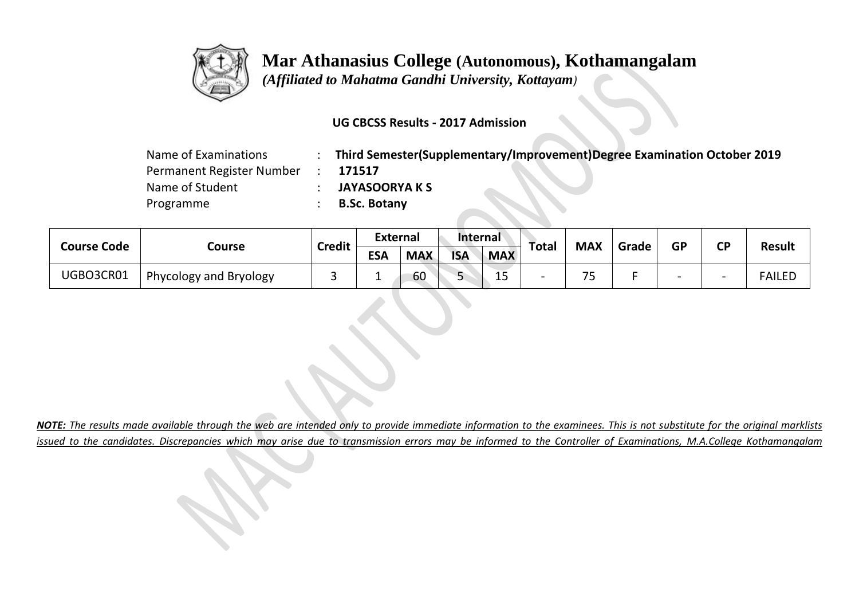

 *(Affiliated to Mahatma Gandhi University, Kottayam)*

### **UG CBCSS Results - 2017 Admission**

| Name of Examinations      | Third Semester(Supplementary/Improvement)Degree Examination October 2019 |
|---------------------------|--------------------------------------------------------------------------|
| Permanent Register Number | 171517                                                                   |
| Name of Student           | <b>JAYASOORYA K S</b>                                                    |
| Programme                 | <b>B.Sc. Botany</b>                                                      |

| <b>Course Code</b> | <b>External</b><br><b>Internal</b><br><b>Credit</b><br>Course<br><b>ESA</b><br><b>ISA</b><br><b>MAX</b> |  |    | <b>MAX</b>                    |            | <b>GP</b>                | <b>CP</b> | <b>Result</b> |  |                          |               |
|--------------------|---------------------------------------------------------------------------------------------------------|--|----|-------------------------------|------------|--------------------------|-----------|---------------|--|--------------------------|---------------|
|                    |                                                                                                         |  |    |                               | <b>MAX</b> | Total                    |           | Grade         |  |                          |               |
| UGBO3CR01          | Phycology and Bryology                                                                                  |  | 60 | $\overline{\phantom{a}}$<br>ے | 1 E<br>ᅩ   | $\overline{\phantom{a}}$ | --        |               |  | $\overline{\phantom{0}}$ | <b>FAILED</b> |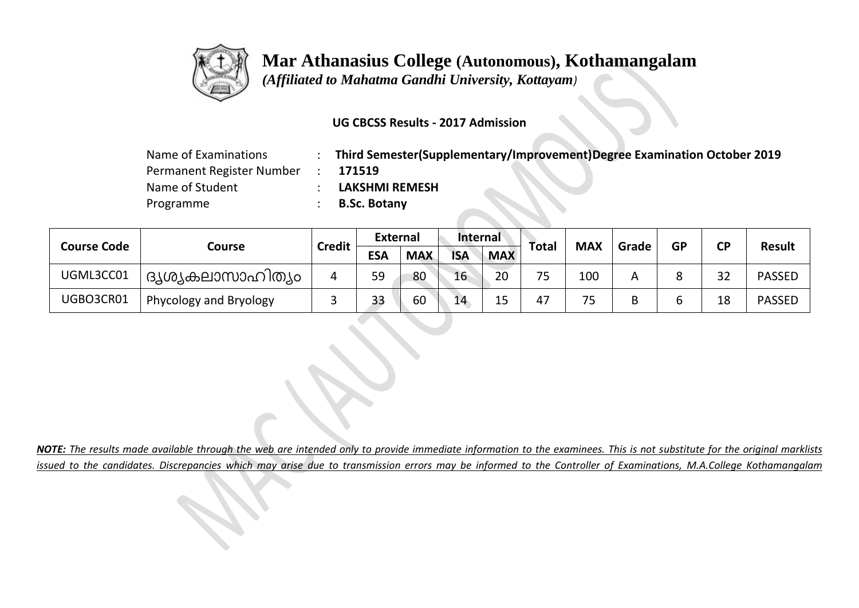

 *(Affiliated to Mahatma Gandhi University, Kottayam)*

### **UG CBCSS Results - 2017 Admission**

| Name of Examinations      | Third Semester(Supplementary/Improvement)Degree Examination October 2019 |
|---------------------------|--------------------------------------------------------------------------|
| Permanent Register Number | 171519                                                                   |
| Name of Student           | <b>LAKSHMI REMESH</b>                                                    |
| Programme                 | <b>B.Sc. Botany</b>                                                      |

| <b>Course Code</b> |                        | <b>Credit</b> | <b>External</b> |            | <b>Internal</b> |            | Total | <b>MAX</b> |                | <b>GP</b> | <b>CP</b> |               |
|--------------------|------------------------|---------------|-----------------|------------|-----------------|------------|-------|------------|----------------|-----------|-----------|---------------|
|                    | Course                 |               | <b>ESA</b>      | <b>MAX</b> | <b>ISA</b>      | <b>MAX</b> |       |            | Grade          |           |           | <b>Result</b> |
| UGML3CC01          | ദൃശ്യകലാസാഹിത്യം       | 4             | 59              | 80         | 16              | 20         | 75    | 100        | $\overline{A}$ |           | 32        | <b>PASSED</b> |
| UGBO3CR01          | Phycology and Bryology |               | 33              | 60         | 14              | 15         | 47    | 75         | B              |           | 18        | <b>PASSED</b> |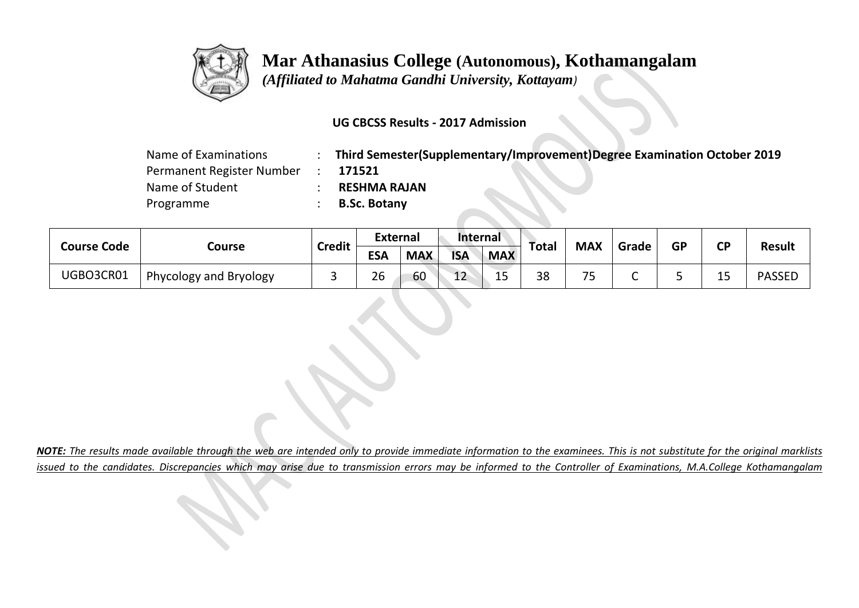

 *(Affiliated to Mahatma Gandhi University, Kottayam)*

### **UG CBCSS Results - 2017 Admission**

| Name of Examinations      | Third Semester(Supplementary/Improvement)Degree Examination October 2019 |
|---------------------------|--------------------------------------------------------------------------|
| Permanent Register Number | 171521                                                                   |
| Name of Student           | <b>RESHMA RAJAN</b>                                                      |
| Programme                 | <b>B.Sc. Botany</b>                                                      |

| <b>Course Code</b> |                        | <b>Credit</b> | <b>External</b> |            | <b>Internal</b> |             | <b>Total</b> | <b>MAX</b>     | Grade | <b>GP</b> | ΓP       |               |
|--------------------|------------------------|---------------|-----------------|------------|-----------------|-------------|--------------|----------------|-------|-----------|----------|---------------|
|                    | Course                 |               | <b>ESA</b>      | <b>MAX</b> | <b>ISA</b>      | <b>MAX</b>  |              |                |       |           | ◡        | <b>Result</b> |
| UGBO3CR01          | Phycology and Bryology |               | 26              | 60         | $\sim$<br>ᅩ     | $\sim$<br>ᅩ | 38           | --<br><b>س</b> |       |           | 15<br>∸∼ | <b>PASSED</b> |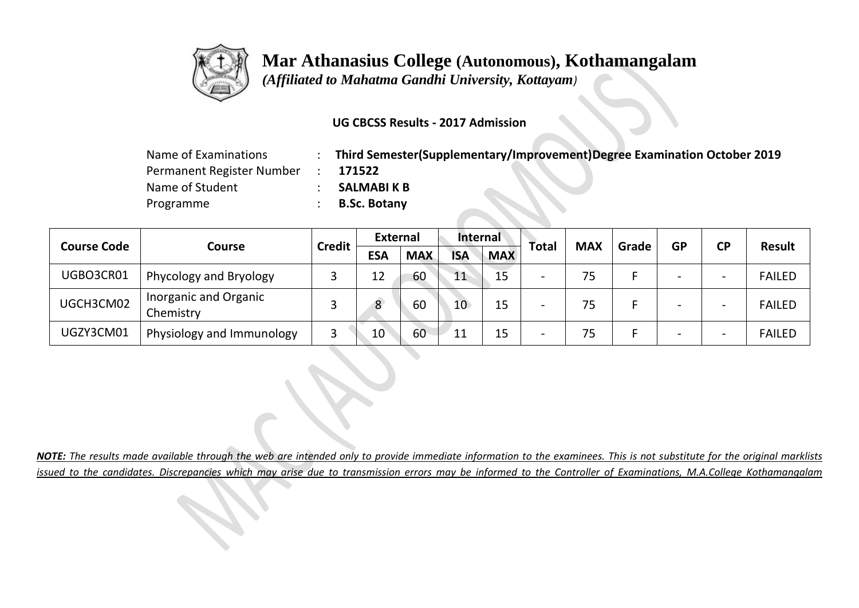

 *(Affiliated to Mahatma Gandhi University, Kottayam)*

### **UG CBCSS Results - 2017 Admission**

| Name of Examinations      | Third Semester(Supplementary/Improvement)Degree Examination October 2019 |
|---------------------------|--------------------------------------------------------------------------|
| Permanent Register Number | 171522                                                                   |
| Name of Student           | <b>SALMABIK B</b>                                                        |
| Programme                 | <b>B.Sc. Botany</b>                                                      |

|                    |                                    |               | <b>External</b> |            | <b>Internal</b> |            |                          | <b>MAX</b> | Grade | <b>GP</b>                | <b>CP</b>                | <b>Result</b> |
|--------------------|------------------------------------|---------------|-----------------|------------|-----------------|------------|--------------------------|------------|-------|--------------------------|--------------------------|---------------|
| <b>Course Code</b> | Course                             | <b>Credit</b> | <b>ESA</b>      | <b>MAX</b> | <b>ISA</b>      | <b>MAX</b> | <b>Total</b>             |            |       |                          |                          |               |
| UGBO3CR01          | Phycology and Bryology             |               | 12              | 60         | 11              | 15         | $\overline{\phantom{0}}$ | 75         |       | $\overline{\phantom{0}}$ | $\overline{\phantom{0}}$ | <b>FAILED</b> |
| UGCH3CM02          | Inorganic and Organic<br>Chemistry |               | 8               | 60         | 10 <sup>°</sup> | 15         | $\overline{\phantom{0}}$ | 75         |       | -                        | $\overline{\phantom{0}}$ | <b>FAILED</b> |
| UGZY3CM01          | Physiology and Immunology          |               | 10              | 60         | 11              | 15         | $\overline{\phantom{0}}$ | 75         |       | $\overline{\phantom{0}}$ | $\overline{\phantom{0}}$ | <b>FAILED</b> |